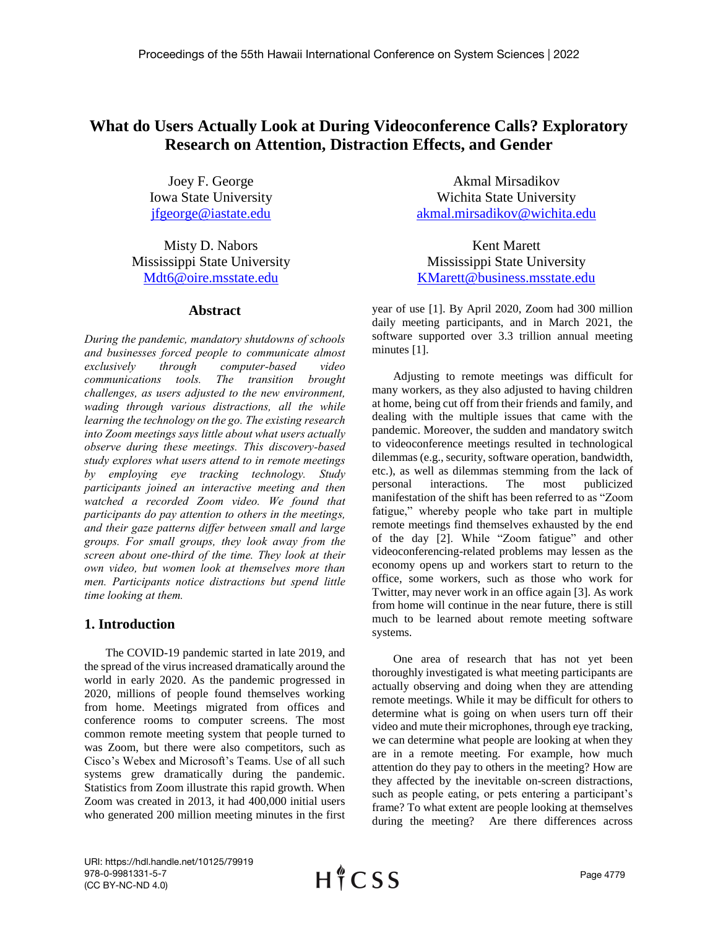# **What do Users Actually Look at During Videoconference Calls? Exploratory Research on Attention, Distraction Effects, and Gender**

Joey F. George Iowa State University [jfgeorge@iastate.edu](mailto:jfgeorge@iastate.edu)

Misty D. Nabors Mississippi State University [Mdt6@oire.msstate.edu](mailto:Mdt6@oire.msstate.edu)

# **Abstract**

*During the pandemic, mandatory shutdowns of schools and businesses forced people to communicate almost exclusively through computer-based video communications tools. The transition brought challenges, as users adjusted to the new environment, wading through various distractions, all the while learning the technology on the go. The existing research into Zoom meetings says little about what users actually observe during these meetings. This discovery-based study explores what users attend to in remote meetings by employing eye tracking technology. Study participants joined an interactive meeting and then watched a recorded Zoom video. We found that participants do pay attention to others in the meetings, and their gaze patterns differ between small and large groups. For small groups, they look away from the screen about one-third of the time. They look at their own video, but women look at themselves more than men. Participants notice distractions but spend little time looking at them.*

# **1. Introduction**

The COVID-19 pandemic started in late 2019, and the spread of the virus increased dramatically around the world in early 2020. As the pandemic progressed in 2020, millions of people found themselves working from home. Meetings migrated from offices and conference rooms to computer screens. The most common remote meeting system that people turned to was Zoom, but there were also competitors, such as Cisco's Webex and Microsoft's Teams. Use of all such systems grew dramatically during the pandemic. Statistics from Zoom illustrate this rapid growth. When Zoom was created in 2013, it had 400,000 initial users who generated 200 million meeting minutes in the first

Akmal Mirsadikov Wichita State University [akmal.mirsadikov@wichita.edu](mailto:akmal.mirsadikov@wichita.edu)

Kent Marett Mississippi State University [KMarett@business.msstate.edu](mailto:KMarett@business.msstate.edu)

year of use [1]. By April 2020, Zoom had 300 million daily meeting participants, and in March 2021, the software supported over 3.3 trillion annual meeting minutes [1].

Adjusting to remote meetings was difficult for many workers, as they also adjusted to having children at home, being cut off from their friends and family, and dealing with the multiple issues that came with the pandemic. Moreover, the sudden and mandatory switch to videoconference meetings resulted in technological dilemmas (e.g., security, software operation, bandwidth, etc.), as well as dilemmas stemming from the lack of personal interactions. The most publicized manifestation of the shift has been referred to as "Zoom fatigue," whereby people who take part in multiple remote meetings find themselves exhausted by the end of the day [2]. While "Zoom fatigue" and other videoconferencing-related problems may lessen as the economy opens up and workers start to return to the office, some workers, such as those who work for Twitter, may never work in an office again [3]. As work from home will continue in the near future, there is still much to be learned about remote meeting software systems.

One area of research that has not yet been thoroughly investigated is what meeting participants are actually observing and doing when they are attending remote meetings. While it may be difficult for others to determine what is going on when users turn off their video and mute their microphones, through eye tracking, we can determine what people are looking at when they are in a remote meeting. For example, how much attention do they pay to others in the meeting? How are they affected by the inevitable on-screen distractions, such as people eating, or pets entering a participant's frame? To what extent are people looking at themselves during the meeting? Are there differences across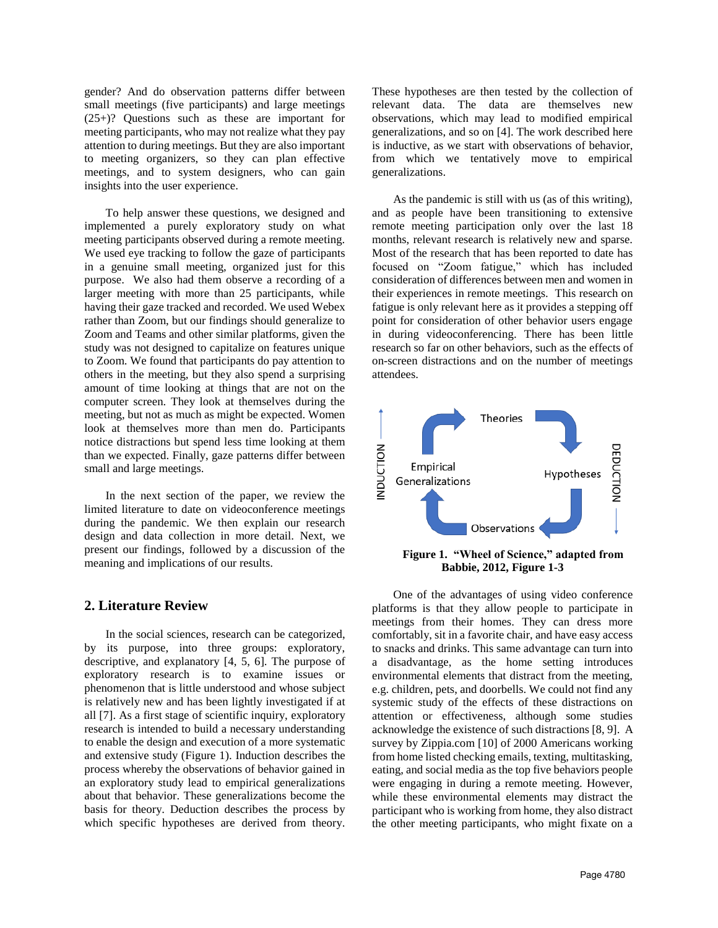gender? And do observation patterns differ between small meetings (five participants) and large meetings (25+)? Questions such as these are important for meeting participants, who may not realize what they pay attention to during meetings. But they are also important to meeting organizers, so they can plan effective meetings, and to system designers, who can gain insights into the user experience.

To help answer these questions, we designed and implemented a purely exploratory study on what meeting participants observed during a remote meeting. We used eye tracking to follow the gaze of participants in a genuine small meeting, organized just for this purpose. We also had them observe a recording of a larger meeting with more than 25 participants, while having their gaze tracked and recorded. We used Webex rather than Zoom, but our findings should generalize to Zoom and Teams and other similar platforms, given the study was not designed to capitalize on features unique to Zoom. We found that participants do pay attention to others in the meeting, but they also spend a surprising amount of time looking at things that are not on the computer screen. They look at themselves during the meeting, but not as much as might be expected. Women look at themselves more than men do. Participants notice distractions but spend less time looking at them than we expected. Finally, gaze patterns differ between small and large meetings.

In the next section of the paper, we review the limited literature to date on videoconference meetings during the pandemic. We then explain our research design and data collection in more detail. Next, we present our findings, followed by a discussion of the meaning and implications of our results.

## **2. Literature Review**

In the social sciences, research can be categorized, by its purpose, into three groups: exploratory, descriptive, and explanatory [4, 5, 6]. The purpose of exploratory research is to examine issues or phenomenon that is little understood and whose subject is relatively new and has been lightly investigated if at all [7]. As a first stage of scientific inquiry, exploratory research is intended to build a necessary understanding to enable the design and execution of a more systematic and extensive study (Figure 1). Induction describes the process whereby the observations of behavior gained in an exploratory study lead to empirical generalizations about that behavior. These generalizations become the basis for theory. Deduction describes the process by which specific hypotheses are derived from theory.

These hypotheses are then tested by the collection of relevant data. The data are themselves new observations, which may lead to modified empirical generalizations, and so on [4]. The work described here is inductive, as we start with observations of behavior, from which we tentatively move to empirical generalizations.

As the pandemic is still with us (as of this writing), and as people have been transitioning to extensive remote meeting participation only over the last 18 months, relevant research is relatively new and sparse. Most of the research that has been reported to date has focused on "Zoom fatigue," which has included consideration of differences between men and women in their experiences in remote meetings. This research on fatigue is only relevant here as it provides a stepping off point for consideration of other behavior users engage in during videoconferencing. There has been little research so far on other behaviors, such as the effects of on-screen distractions and on the number of meetings attendees.



**Figure 1. "Wheel of Science," adapted from Babbie, 2012, Figure 1-3**

One of the advantages of using video conference platforms is that they allow people to participate in meetings from their homes. They can dress more comfortably, sit in a favorite chair, and have easy access to snacks and drinks. This same advantage can turn into a disadvantage, as the home setting introduces environmental elements that distract from the meeting, e.g. children, pets, and doorbells. We could not find any systemic study of the effects of these distractions on attention or effectiveness, although some studies acknowledge the existence of such distractions [8, 9]. A survey by Zippia.com [10] of 2000 Americans working from home listed checking emails, texting, multitasking, eating, and social media as the top five behaviors people were engaging in during a remote meeting. However, while these environmental elements may distract the participant who is working from home, they also distract the other meeting participants, who might fixate on a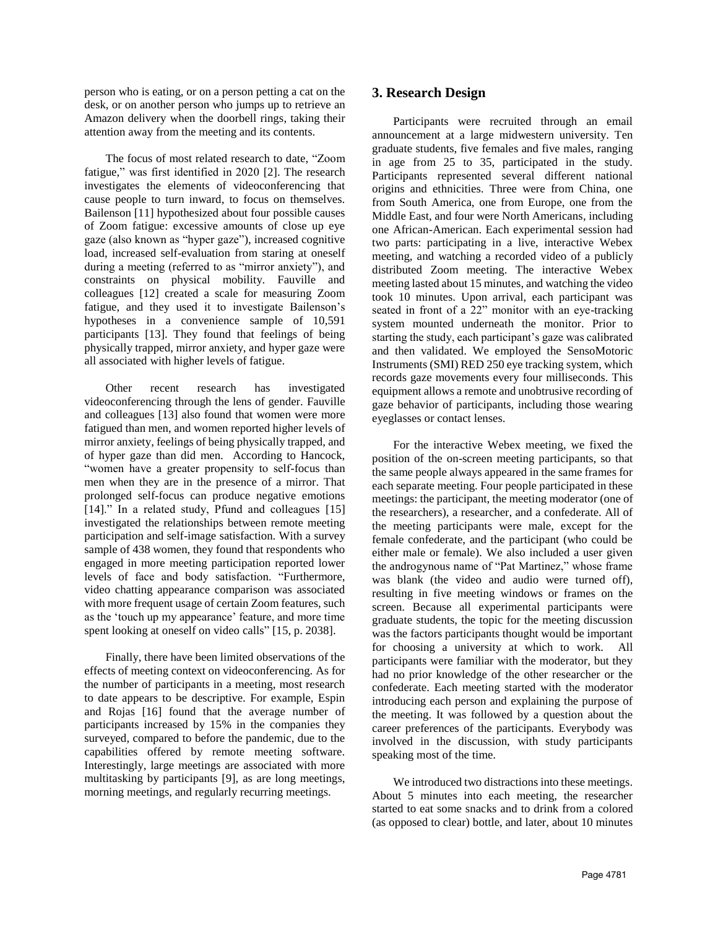person who is eating, or on a person petting a cat on the desk, or on another person who jumps up to retrieve an Amazon delivery when the doorbell rings, taking their attention away from the meeting and its contents.

The focus of most related research to date, "Zoom fatigue," was first identified in 2020 [2]. The research investigates the elements of videoconferencing that cause people to turn inward, to focus on themselves. Bailenson [11] hypothesized about four possible causes of Zoom fatigue: excessive amounts of close up eye gaze (also known as "hyper gaze"), increased cognitive load, increased self-evaluation from staring at oneself during a meeting (referred to as "mirror anxiety"), and constraints on physical mobility. Fauville and colleagues [12] created a scale for measuring Zoom fatigue, and they used it to investigate Bailenson's hypotheses in a convenience sample of 10,591 participants [13]. They found that feelings of being physically trapped, mirror anxiety, and hyper gaze were all associated with higher levels of fatigue.

Other recent research has investigated videoconferencing through the lens of gender. Fauville and colleagues [13] also found that women were more fatigued than men, and women reported higher levels of mirror anxiety, feelings of being physically trapped, and of hyper gaze than did men. According to Hancock, "women have a greater propensity to self-focus than men when they are in the presence of a mirror. That prolonged self-focus can produce negative emotions [14]." In a related study, Pfund and colleagues [15] investigated the relationships between remote meeting participation and self-image satisfaction. With a survey sample of 438 women, they found that respondents who engaged in more meeting participation reported lower levels of face and body satisfaction. "Furthermore, video chatting appearance comparison was associated with more frequent usage of certain Zoom features, such as the 'touch up my appearance' feature, and more time spent looking at oneself on video calls" [15, p. 2038].

Finally, there have been limited observations of the effects of meeting context on videoconferencing. As for the number of participants in a meeting, most research to date appears to be descriptive. For example, Espin and Rojas [16] found that the average number of participants increased by 15% in the companies they surveyed, compared to before the pandemic, due to the capabilities offered by remote meeting software. Interestingly, large meetings are associated with more multitasking by participants [9], as are long meetings, morning meetings, and regularly recurring meetings.

# **3. Research Design**

Participants were recruited through an email announcement at a large midwestern university. Ten graduate students, five females and five males, ranging in age from 25 to 35, participated in the study. Participants represented several different national origins and ethnicities. Three were from China, one from South America, one from Europe, one from the Middle East, and four were North Americans, including one African-American. Each experimental session had two parts: participating in a live, interactive Webex meeting, and watching a recorded video of a publicly distributed Zoom meeting. The interactive Webex meeting lasted about 15 minutes, and watching the video took 10 minutes. Upon arrival, each participant was seated in front of a 22" monitor with an eye-tracking system mounted underneath the monitor. Prior to starting the study, each participant's gaze was calibrated and then validated. We employed the SensoMotoric Instruments (SMI) RED 250 eye tracking system, which records gaze movements every four milliseconds. This equipment allows a remote and unobtrusive recording of gaze behavior of participants, including those wearing eyeglasses or contact lenses.

For the interactive Webex meeting, we fixed the position of the on-screen meeting participants, so that the same people always appeared in the same frames for each separate meeting. Four people participated in these meetings: the participant, the meeting moderator (one of the researchers), a researcher, and a confederate. All of the meeting participants were male, except for the female confederate, and the participant (who could be either male or female). We also included a user given the androgynous name of "Pat Martinez," whose frame was blank (the video and audio were turned off), resulting in five meeting windows or frames on the screen. Because all experimental participants were graduate students, the topic for the meeting discussion was the factors participants thought would be important for choosing a university at which to work. All participants were familiar with the moderator, but they had no prior knowledge of the other researcher or the confederate. Each meeting started with the moderator introducing each person and explaining the purpose of the meeting. It was followed by a question about the career preferences of the participants. Everybody was involved in the discussion, with study participants speaking most of the time.

We introduced two distractions into these meetings. About 5 minutes into each meeting, the researcher started to eat some snacks and to drink from a colored (as opposed to clear) bottle, and later, about 10 minutes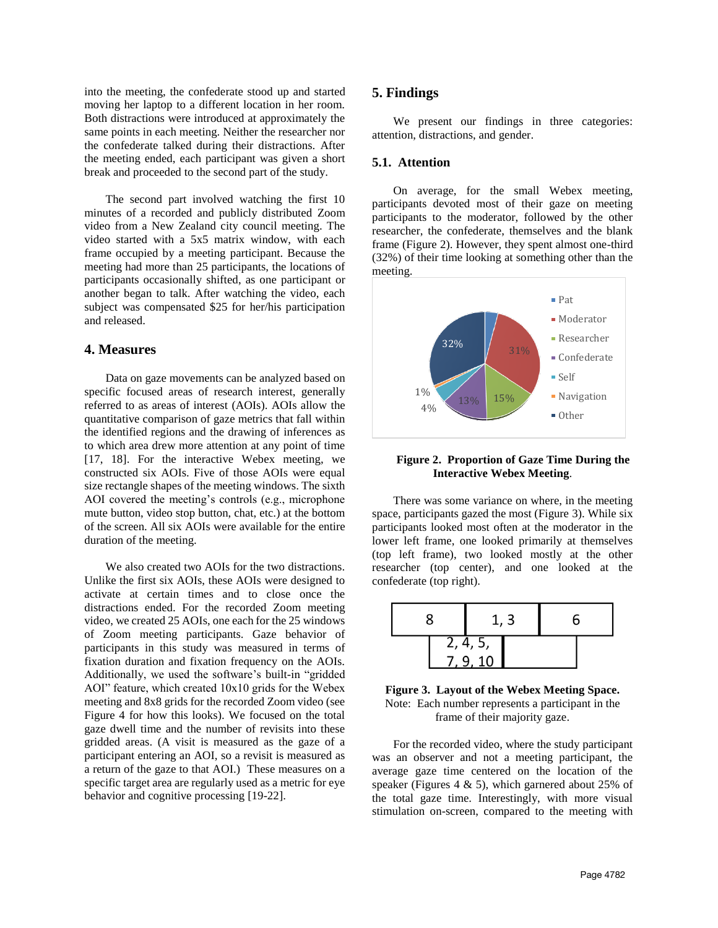into the meeting, the confederate stood up and started moving her laptop to a different location in her room. Both distractions were introduced at approximately the same points in each meeting. Neither the researcher nor the confederate talked during their distractions. After the meeting ended, each participant was given a short break and proceeded to the second part of the study.

The second part involved watching the first 10 minutes of a recorded and publicly distributed Zoom video from a New Zealand city council meeting. The video started with a 5x5 matrix window, with each frame occupied by a meeting participant. Because the meeting had more than 25 participants, the locations of participants occasionally shifted, as one participant or another began to talk. After watching the video, each subject was compensated \$25 for her/his participation and released.

#### **4. Measures**

Data on gaze movements can be analyzed based on specific focused areas of research interest, generally referred to as areas of interest (AOIs). AOIs allow the quantitative comparison of gaze metrics that fall within the identified regions and the drawing of inferences as to which area drew more attention at any point of time [17, 18]. For the interactive Webex meeting, we constructed six AOIs. Five of those AOIs were equal size rectangle shapes of the meeting windows. The sixth AOI covered the meeting's controls (e.g., microphone mute button, video stop button, chat, etc.) at the bottom of the screen. All six AOIs were available for the entire duration of the meeting.

We also created two AOIs for the two distractions. Unlike the first six AOIs, these AOIs were designed to activate at certain times and to close once the distractions ended. For the recorded Zoom meeting video, we created 25 AOIs, one each for the 25 windows of Zoom meeting participants. Gaze behavior of participants in this study was measured in terms of fixation duration and fixation frequency on the AOIs. Additionally, we used the software's built-in "gridded AOI" feature, which created 10x10 grids for the Webex meeting and 8x8 grids for the recorded Zoom video (see Figure 4 for how this looks). We focused on the total gaze dwell time and the number of revisits into these gridded areas. (A visit is measured as the gaze of a participant entering an AOI, so a revisit is measured as a return of the gaze to that AOI.) These measures on a specific target area are regularly used as a metric for eye behavior and cognitive processing [19-22].

#### **5. Findings**

We present our findings in three categories: attention, distractions, and gender.

# **5.1. Attention**

On average, for the small Webex meeting, participants devoted most of their gaze on meeting participants to the moderator, followed by the other researcher, the confederate, themselves and the blank frame (Figure 2). However, they spent almost one-third (32%) of their time looking at something other than the meeting.



#### **Figure 2. Proportion of Gaze Time During the Interactive Webex Meeting**.

There was some variance on where, in the meeting space, participants gazed the most (Figure 3). While six participants looked most often at the moderator in the lower left frame, one looked primarily at themselves (top left frame), two looked mostly at the other researcher (top center), and one looked at the confederate (top right).





For the recorded video, where the study participant was an observer and not a meeting participant, the average gaze time centered on the location of the speaker (Figures 4 & 5), which garnered about 25% of the total gaze time. Interestingly, with more visual stimulation on-screen, compared to the meeting with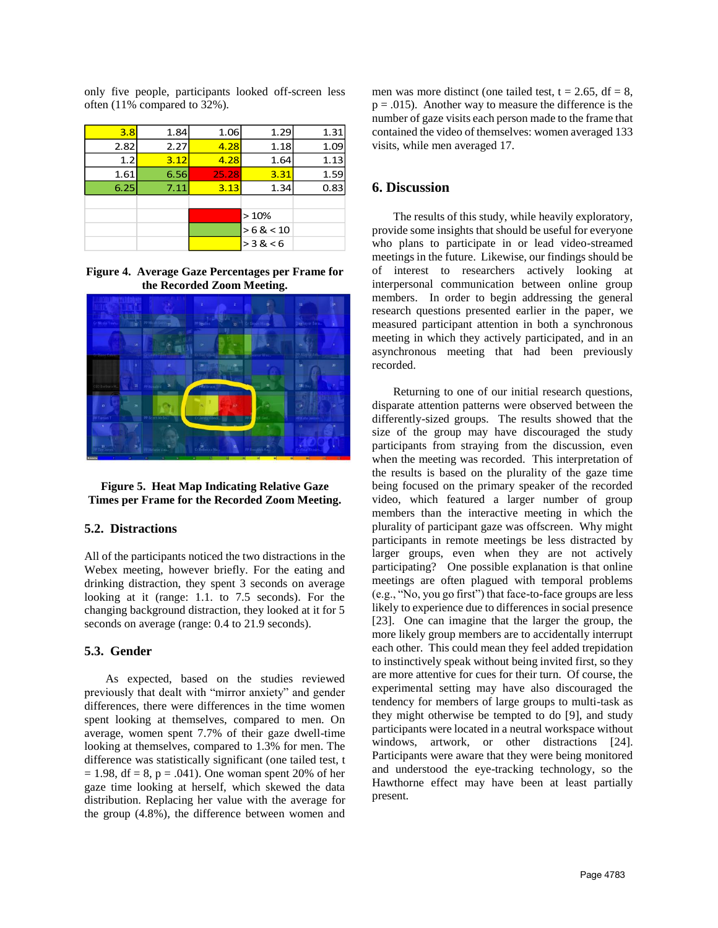only five people, participants looked off-screen less often (11% compared to 32%).

| 3.8  | 1.84 | 1.06  | 1.29    | 1.31 |
|------|------|-------|---------|------|
| 2.82 | 2.27 | 4.28  | 1.18    | 1.09 |
| 1.2  | 3.12 | 4.28  | 1.64    | 1.13 |
| 1.61 | 6.56 | 25.28 | 3.31    | 1.59 |
| 6.25 | 7.11 | 3.13  | 1.34    | 0.83 |
|      |      |       |         |      |
|      |      |       | >10%    |      |
|      |      |       | >6 < 10 |      |
|      |      |       | > 3 < 6 |      |
|      |      |       |         |      |

**Figure 4. Average Gaze Percentages per Frame for the Recorded Zoom Meeting.**





#### **5.2. Distractions**

All of the participants noticed the two distractions in the Webex meeting, however briefly. For the eating and drinking distraction, they spent 3 seconds on average looking at it (range: 1.1. to 7.5 seconds). For the changing background distraction, they looked at it for 5 seconds on average (range: 0.4 to 21.9 seconds).

#### **5.3. Gender**

As expected, based on the studies reviewed previously that dealt with "mirror anxiety" and gender differences, there were differences in the time women spent looking at themselves, compared to men. On average, women spent 7.7% of their gaze dwell-time looking at themselves, compared to 1.3% for men. The difference was statistically significant (one tailed test, t  $= 1.98$ , df  $= 8$ , p  $= .041$ ). One woman spent 20% of her gaze time looking at herself, which skewed the data distribution. Replacing her value with the average for the group (4.8%), the difference between women and men was more distinct (one tailed test,  $t = 2.65$ ,  $df = 8$ ,  $p = .015$ . Another way to measure the difference is the number of gaze visits each person made to the frame that contained the video of themselves: women averaged 133 visits, while men averaged 17.

# **6. Discussion**

The results of this study, while heavily exploratory, provide some insights that should be useful for everyone who plans to participate in or lead video-streamed meetings in the future. Likewise, our findings should be of interest to researchers actively looking at interpersonal communication between online group members. In order to begin addressing the general research questions presented earlier in the paper, we measured participant attention in both a synchronous meeting in which they actively participated, and in an asynchronous meeting that had been previously recorded.

Returning to one of our initial research questions, disparate attention patterns were observed between the differently-sized groups. The results showed that the size of the group may have discouraged the study participants from straying from the discussion, even when the meeting was recorded. This interpretation of the results is based on the plurality of the gaze time being focused on the primary speaker of the recorded video, which featured a larger number of group members than the interactive meeting in which the plurality of participant gaze was offscreen. Why might participants in remote meetings be less distracted by larger groups, even when they are not actively participating? One possible explanation is that online meetings are often plagued with temporal problems (e.g., "No, you go first") that face-to-face groups are less likely to experience due to differences in social presence [23]. One can imagine that the larger the group, the more likely group members are to accidentally interrupt each other. This could mean they feel added trepidation to instinctively speak without being invited first, so they are more attentive for cues for their turn. Of course, the experimental setting may have also discouraged the tendency for members of large groups to multi-task as they might otherwise be tempted to do [9], and study participants were located in a neutral workspace without windows, artwork, or other distractions [24]. Participants were aware that they were being monitored and understood the eye-tracking technology, so the Hawthorne effect may have been at least partially present.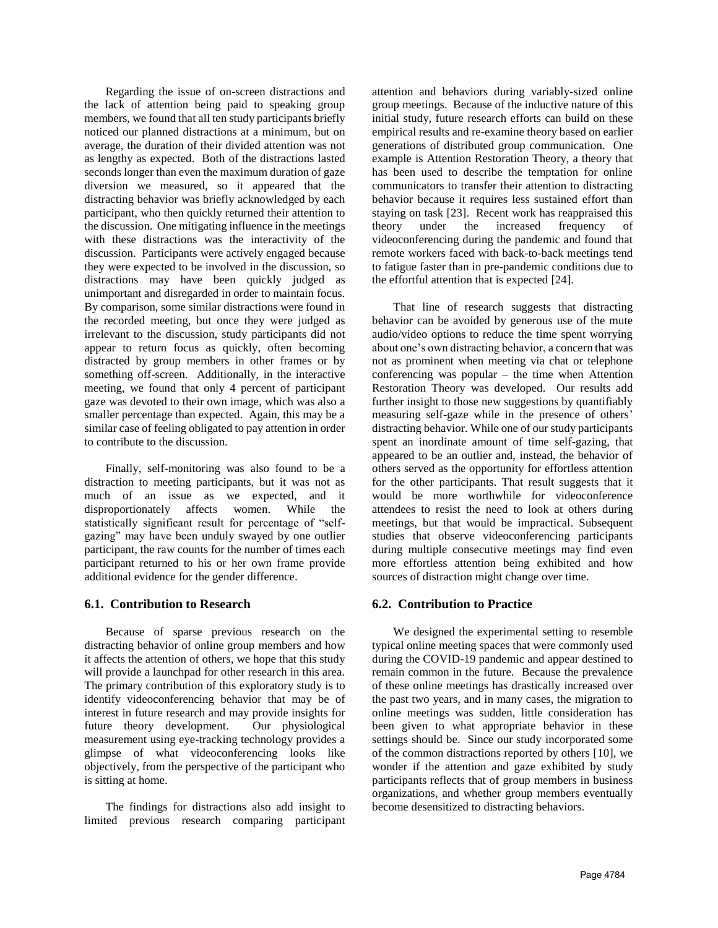Regarding the issue of on-screen distractions and the lack of attention being paid to speaking group members, we found that all ten study participants briefly noticed our planned distractions at a minimum, but on average, the duration of their divided attention was not as lengthy as expected. Both of the distractions lasted seconds longer than even the maximum duration of gaze diversion we measured, so it appeared that the distracting behavior was briefly acknowledged by each participant, who then quickly returned their attention to the discussion. One mitigating influence in the meetings with these distractions was the interactivity of the discussion. Participants were actively engaged because they were expected to be involved in the discussion, so distractions may have been quickly judged as unimportant and disregarded in order to maintain focus. By comparison, some similar distractions were found in the recorded meeting, but once they were judged as irrelevant to the discussion, study participants did not appear to return focus as quickly, often becoming distracted by group members in other frames or by something off-screen. Additionally, in the interactive meeting, we found that only 4 percent of participant gaze was devoted to their own image, which was also a smaller percentage than expected. Again, this may be a similar case of feeling obligated to pay attention in order to contribute to the discussion.

Finally, self-monitoring was also found to be a distraction to meeting participants, but it was not as much of an issue as we expected, and it disproportionately affects women. While the statistically significant result for percentage of "selfgazing" may have been unduly swayed by one outlier participant, the raw counts for the number of times each participant returned to his or her own frame provide additional evidence for the gender difference.

## **6.1. Contribution to Research**

Because of sparse previous research on the distracting behavior of online group members and how it affects the attention of others, we hope that this study will provide a launchpad for other research in this area. The primary contribution of this exploratory study is to identify videoconferencing behavior that may be of interest in future research and may provide insights for future theory development. Our physiological measurement using eye-tracking technology provides a glimpse of what videoconferencing looks like objectively, from the perspective of the participant who is sitting at home.

The findings for distractions also add insight to limited previous research comparing participant attention and behaviors during variably-sized online group meetings. Because of the inductive nature of this initial study, future research efforts can build on these empirical results and re-examine theory based on earlier generations of distributed group communication. One example is Attention Restoration Theory, a theory that has been used to describe the temptation for online communicators to transfer their attention to distracting behavior because it requires less sustained effort than staying on task [23]. Recent work has reappraised this theory under the increased frequency of videoconferencing during the pandemic and found that remote workers faced with back-to-back meetings tend to fatigue faster than in pre-pandemic conditions due to the effortful attention that is expected [24].

That line of research suggests that distracting behavior can be avoided by generous use of the mute audio/video options to reduce the time spent worrying about one's own distracting behavior, a concern that was not as prominent when meeting via chat or telephone conferencing was popular – the time when Attention Restoration Theory was developed. Our results add further insight to those new suggestions by quantifiably measuring self-gaze while in the presence of others' distracting behavior. While one of our study participants spent an inordinate amount of time self-gazing, that appeared to be an outlier and, instead, the behavior of others served as the opportunity for effortless attention for the other participants. That result suggests that it would be more worthwhile for videoconference attendees to resist the need to look at others during meetings, but that would be impractical. Subsequent studies that observe videoconferencing participants during multiple consecutive meetings may find even more effortless attention being exhibited and how sources of distraction might change over time.

#### **6.2. Contribution to Practice**

We designed the experimental setting to resemble typical online meeting spaces that were commonly used during the COVID-19 pandemic and appear destined to remain common in the future. Because the prevalence of these online meetings has drastically increased over the past two years, and in many cases, the migration to online meetings was sudden, little consideration has been given to what appropriate behavior in these settings should be. Since our study incorporated some of the common distractions reported by others [10], we wonder if the attention and gaze exhibited by study participants reflects that of group members in business organizations, and whether group members eventually become desensitized to distracting behaviors.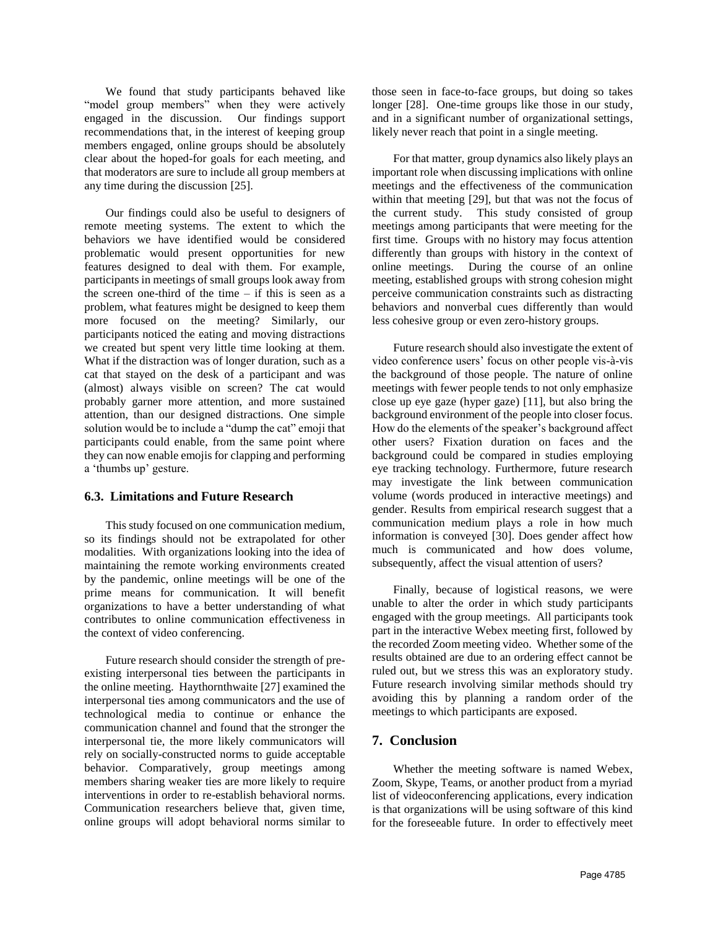We found that study participants behaved like "model group members" when they were actively engaged in the discussion. Our findings support recommendations that, in the interest of keeping group members engaged, online groups should be absolutely clear about the hoped-for goals for each meeting, and that moderators are sure to include all group members at any time during the discussion [25].

Our findings could also be useful to designers of remote meeting systems. The extent to which the behaviors we have identified would be considered problematic would present opportunities for new features designed to deal with them. For example, participants in meetings of small groups look away from the screen one-third of the time  $-$  if this is seen as a problem, what features might be designed to keep them more focused on the meeting? Similarly, our participants noticed the eating and moving distractions we created but spent very little time looking at them. What if the distraction was of longer duration, such as a cat that stayed on the desk of a participant and was (almost) always visible on screen? The cat would probably garner more attention, and more sustained attention, than our designed distractions. One simple solution would be to include a "dump the cat" emoji that participants could enable, from the same point where they can now enable emojis for clapping and performing a 'thumbs up' gesture.

## **6.3. Limitations and Future Research**

This study focused on one communication medium, so its findings should not be extrapolated for other modalities. With organizations looking into the idea of maintaining the remote working environments created by the pandemic, online meetings will be one of the prime means for communication. It will benefit organizations to have a better understanding of what contributes to online communication effectiveness in the context of video conferencing.

Future research should consider the strength of preexisting interpersonal ties between the participants in the online meeting. Haythornthwaite [27] examined the interpersonal ties among communicators and the use of technological media to continue or enhance the communication channel and found that the stronger the interpersonal tie, the more likely communicators will rely on socially-constructed norms to guide acceptable behavior. Comparatively, group meetings among members sharing weaker ties are more likely to require interventions in order to re-establish behavioral norms. Communication researchers believe that, given time, online groups will adopt behavioral norms similar to those seen in face-to-face groups, but doing so takes longer [28]. One-time groups like those in our study, and in a significant number of organizational settings, likely never reach that point in a single meeting.

For that matter, group dynamics also likely plays an important role when discussing implications with online meetings and the effectiveness of the communication within that meeting [29], but that was not the focus of the current study. This study consisted of group meetings among participants that were meeting for the first time. Groups with no history may focus attention differently than groups with history in the context of online meetings. During the course of an online meeting, established groups with strong cohesion might perceive communication constraints such as distracting behaviors and nonverbal cues differently than would less cohesive group or even zero-history groups.

Future research should also investigate the extent of video conference users' focus on other people vis-à-vis the background of those people. The nature of online meetings with fewer people tends to not only emphasize close up eye gaze (hyper gaze) [11], but also bring the background environment of the people into closer focus. How do the elements of the speaker's background affect other users? Fixation duration on faces and the background could be compared in studies employing eye tracking technology. Furthermore, future research may investigate the link between communication volume (words produced in interactive meetings) and gender. Results from empirical research suggest that a communication medium plays a role in how much information is conveyed [30]. Does gender affect how much is communicated and how does volume, subsequently, affect the visual attention of users?

Finally, because of logistical reasons, we were unable to alter the order in which study participants engaged with the group meetings. All participants took part in the interactive Webex meeting first, followed by the recorded Zoom meeting video. Whether some of the results obtained are due to an ordering effect cannot be ruled out, but we stress this was an exploratory study. Future research involving similar methods should try avoiding this by planning a random order of the meetings to which participants are exposed.

# **7. Conclusion**

Whether the meeting software is named Webex, Zoom, Skype, Teams, or another product from a myriad list of videoconferencing applications, every indication is that organizations will be using software of this kind for the foreseeable future. In order to effectively meet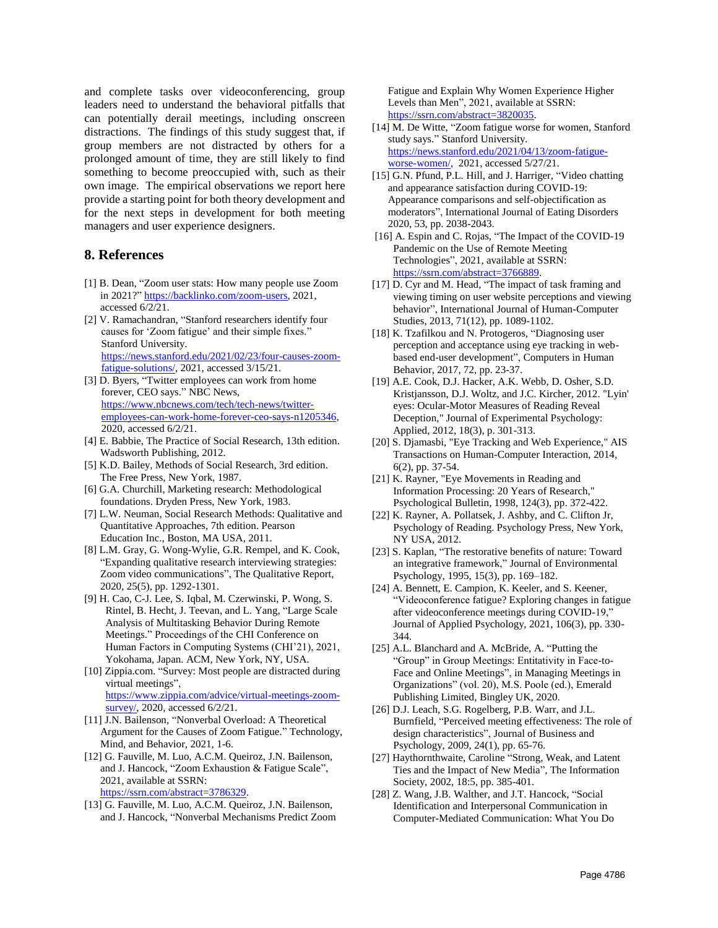and complete tasks over videoconferencing, group leaders need to understand the behavioral pitfalls that can potentially derail meetings, including onscreen distractions. The findings of this study suggest that, if group members are not distracted by others for a prolonged amount of time, they are still likely to find something to become preoccupied with, such as their own image. The empirical observations we report here provide a starting point for both theory development and for the next steps in development for both meeting managers and user experience designers.

#### **8. References**

- [1] B. Dean, "Zoom user stats: How many people use Zoom in 2021?" [https://backlinko.com/zoom-users,](https://backlinko.com/zoom-users) 2021, accessed 6/2/21.
- [2] V. Ramachandran, "Stanford researchers identify four causes for 'Zoom fatigue' and their simple fixes." Stanford University. [https://news.stanford.edu/2021/02/23/four-causes-zoom](https://news.stanford.edu/2021/02/23/four-causes-zoom-fatigue-solutions/)[fatigue-solutions/,](https://news.stanford.edu/2021/02/23/four-causes-zoom-fatigue-solutions/) 2021, accessed 3/15/21.
- [3] D. Byers, "Twitter employees can work from home forever, CEO says." NBC News, [https://www.nbcnews.com/tech/tech-news/twitter](https://www.nbcnews.com/tech/tech-news/twitter-employees-can-work-home-forever-ceo-says-n1205346)[employees-can-work-home-forever-ceo-says-n1205346,](https://www.nbcnews.com/tech/tech-news/twitter-employees-can-work-home-forever-ceo-says-n1205346) 2020, accessed 6/2/21.
- [4] E. Babbie, The Practice of Social Research, 13th edition. Wadsworth Publishing, 2012.
- [5] K.D. Bailey, Methods of Social Research, 3rd edition. The Free Press, New York, 1987.
- [6] G.A. Churchill, Marketing research: Methodological foundations. Dryden Press, New York, 1983.
- [7] L.W. Neuman, Social Research Methods: Qualitative and Quantitative Approaches, 7th edition. Pearson Education Inc., Boston, MA USA, 2011.
- [8] L.M. Gray, G. Wong-Wylie, G.R. Rempel, and K. Cook, "Expanding qualitative research interviewing strategies: Zoom video communications", The Qualitative Report, 2020, 25(5), pp. 1292-1301.
- [9] H. Cao, C-J. Lee, S. Iqbal, M. Czerwinski, P. Wong, S. Rintel, B. Hecht, J. Teevan, and L. Yang, "Large Scale Analysis of Multitasking Behavior During Remote Meetings." Proceedings of the CHI Conference on Human Factors in Computing Systems (CHI'21), 2021, Yokohama, Japan. ACM, New York, NY, USA.
- [10] Zippia.com. "Survey: Most people are distracted during virtual meetings", [https://www.zippia.com/advice/virtual-meetings-zoom](https://www.zippia.com/advice/virtual-meetings-zoom-survey/)[survey/,](https://www.zippia.com/advice/virtual-meetings-zoom-survey/) 2020, accessed 6/2/21.
- [11] J.N. Bailenson, "Nonverbal Overload: A Theoretical Argument for the Causes of Zoom Fatigue." Technology, Mind, and Behavior, 2021, 1-6.
- [12] G. Fauville, M. Luo, A.C.M. Queiroz, J.N. Bailenson, and J. Hancock, "Zoom Exhaustion & Fatigue Scale", 2021, available at SSRN: [https://ssrn.com/abstract=3786329.](https://ssrn.com/abstract=3786329)
- [13] G. Fauville, M. Luo, A.C.M. Queiroz, J.N. Bailenson, and J. Hancock, "Nonverbal Mechanisms Predict Zoom

Fatigue and Explain Why Women Experience Higher Levels than Men", 2021, available at SSRN: [https://ssrn.com/abstract=3820035.](https://ssrn.com/abstract=3820035)

- [14] M. De Witte, "Zoom fatigue worse for women, Stanford study says." Stanford University. [https://news.stanford.edu/2021/04/13/zoom-fatigue](https://news.stanford.edu/2021/04/13/zoom-fatigue-worse-women/)[worse-women/,](https://news.stanford.edu/2021/04/13/zoom-fatigue-worse-women/) 2021, accessed 5/27/21.
- [15] G.N. Pfund, P.L. Hill, and J. Harriger, "Video chatting and appearance satisfaction during COVID-19: Appearance comparisons and self-objectification as moderators", International Journal of Eating Disorders 2020, 53, pp. 2038-2043.
- [16] A. Espin and C. Rojas, "The Impact of the COVID-19 Pandemic on the Use of Remote Meeting Technologies", 2021, available at SSRN: [https://ssrn.com/abstract=3766889.](https://ssrn.com/abstract=3766889)
- [17] D. Cyr and M. Head, "The impact of task framing and viewing timing on user website perceptions and viewing behavior", International Journal of Human-Computer Studies, 2013, 71(12), pp. 1089-1102.
- [18] K. Tzafilkou and N. Protogeros, "Diagnosing user perception and acceptance using eye tracking in webbased end-user development", Computers in Human Behavior, 2017, 72, pp. 23-37.
- [19] A.E. Cook, D.J. Hacker, A.K. Webb, D. Osher, S.D. Kristjansson, D.J. Woltz, and J.C. Kircher, 2012. "Lyin' eyes: Ocular-Motor Measures of Reading Reveal Deception," Journal of Experimental Psychology: Applied, 2012, 18(3), p. 301-313.
- [20] S. Djamasbi, "Eye Tracking and Web Experience," AIS Transactions on Human-Computer Interaction, 2014, 6(2), pp. 37-54.
- [21] K. Rayner, "Eye Movements in Reading and Information Processing: 20 Years of Research," Psychological Bulletin, 1998, 124(3), pp. 372-422.
- [22] K. Rayner, A. Pollatsek, J. Ashby, and C. Clifton Jr, Psychology of Reading. Psychology Press, New York, NY USA, 2012.
- [23] S. Kaplan, "The restorative benefits of nature: Toward an integrative framework," Journal of Environmental Psychology, 1995, 15(3), pp. 169–182.
- [24] A. Bennett, E. Campion, K. Keeler, and S. Keener, "Videoconference fatigue? Exploring changes in fatigue after videoconference meetings during COVID-19," Journal of Applied Psychology, 2021, 106(3), pp. 330- 344.
- [25] A.L. Blanchard and A. McBride, A. "Putting the "Group" in Group Meetings: Entitativity in Face-to-Face and Online Meetings", in Managing Meetings in Organizations" (vol. 20), M.S. Poole (ed.), Emerald Publishing Limited, Bingley UK, 2020.
- [26] D.J. Leach, S.G. Rogelberg, P.B. Warr, and J.L. Burnfield, "Perceived meeting effectiveness: The role of design characteristics", Journal of Business and Psychology, 2009, 24(1), pp. 65-76.
- [27] Haythornthwaite, Caroline "Strong, Weak, and Latent Ties and the Impact of New Media", The Information Society, 2002, 18:5, pp. 385-401.
- [28] Z. Wang, J.B. Walther, and J.T. Hancock, "Social Identification and Interpersonal Communication in Computer-Mediated Communication: What You Do